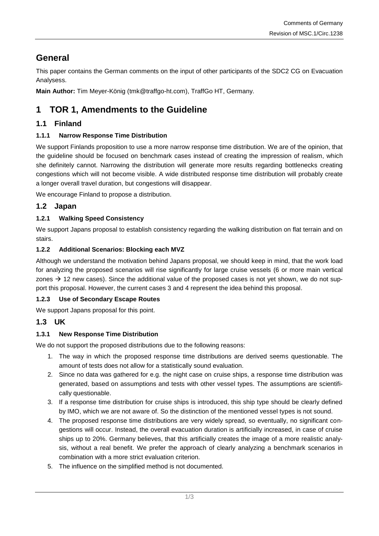# **General**

This paper contains the German comments on the input of other participants of the SDC2 CG on Evacuation Analysess.

**Main Author:** Tim Meyer-König (tmk@traffgo-ht.com), TraffGo HT, Germany.

# **1 TOR 1, Amendments to the Guideline**

# **1.1 Finland**

## **1.1.1 Narrow Response Time Distribution**

We support Finlands proposition to use a more narrow response time distribution. We are of the opinion, that the guideline should be focused on benchmark cases instead of creating the impression of realism, which she definitely cannot. Narrowing the distribution will generate more results regarding bottlenecks creating congestions which will not become visible. A wide distributed response time distribution will probably create a longer overall travel duration, but congestions will disappear.

We encourage Finland to propose a distribution.

# **1.2 Japan**

## **1.2.1 Walking Speed Consistency**

We support Japans proposal to establish consistency regarding the walking distribution on flat terrain and on stairs.

## **1.2.2 Additional Scenarios: Blocking each MVZ**

Although we understand the motivation behind Japans proposal, we should keep in mind, that the work load for analyzing the proposed scenarios will rise significantly for large cruise vessels (6 or more main vertical zones  $\rightarrow$  12 new cases). Since the additional value of the proposed cases is not yet shown, we do not support this proposal. However, the current cases 3 and 4 represent the idea behind this proposal.

### **1.2.3 Use of Secondary Escape Routes**

We support Japans proposal for this point.

# **1.3 UK**

## **1.3.1 New Response Time Distribution**

We do not support the proposed distributions due to the following reasons:

- 1. The way in which the proposed response time distributions are derived seems questionable. The amount of tests does not allow for a statistically sound evaluation.
- 2. Since no data was gathered for e.g. the night case on cruise ships, a response time distribution was generated, based on assumptions and tests with other vessel types. The assumptions are scientifically questionable.
- 3. If a response time distribution for cruise ships is introduced, this ship type should be clearly defined by IMO, which we are not aware of. So the distinction of the mentioned vessel types is not sound.
- 4. The proposed response time distributions are very widely spread, so eventually, no significant congestions will occur. Instead, the overall evacuation duration is artificially increased, in case of cruise ships up to 20%. Germany believes, that this artificially creates the image of a more realistic analysis, without a real benefit. We prefer the approach of clearly analyzing a benchmark scenarios in combination with a more strict evaluation criterion.
- 5. The influence on the simplified method is not documented.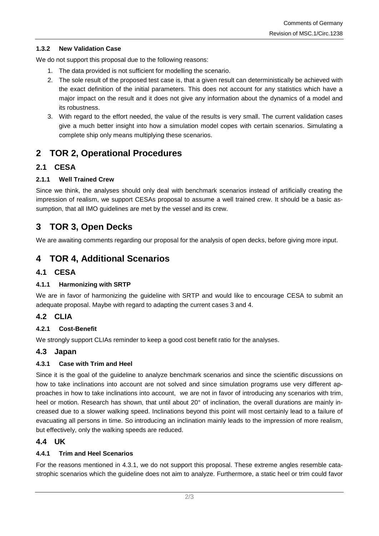#### **1.3.2 New Validation Case**

We do not support this proposal due to the following reasons:

- 1. The data provided is not sufficient for modelling the scenario.
- 2. The sole result of the proposed test case is, that a given result can deterministically be achieved with the exact definition of the initial parameters. This does not account for any statistics which have a major impact on the result and it does not give any information about the dynamics of a model and its robustness.
- 3. With regard to the effort needed, the value of the results is very small. The current validation cases give a much better insight into how a simulation model copes with certain scenarios. Simulating a complete ship only means multiplying these scenarios.

# **2 TOR 2, Operational Procedures**

### **2.1 CESA**

#### **2.1.1 Well Trained Crew**

Since we think, the analyses should only deal with benchmark scenarios instead of artificially creating the impression of realism, we support CESAs proposal to assume a well trained crew. It should be a basic assumption, that all IMO guidelines are met by the vessel and its crew.

# **3 TOR 3, Open Decks**

We are awaiting comments regarding our proposal for the analysis of open decks, before giving more input.

# **4 TOR 4, Additional Scenarios**

### **4.1 CESA**

#### **4.1.1 Harmonizing with SRTP**

We are in favor of harmonizing the guideline with SRTP and would like to encourage CESA to submit an adequate proposal. Maybe with regard to adapting the current cases 3 and 4.

### **4.2 CLIA**

#### **4.2.1 Cost-Benefit**

We strongly support CLIAs reminder to keep a good cost benefit ratio for the analyses.

### **4.3 Japan**

#### <span id="page-1-0"></span>**4.3.1 Case with Trim and Heel**

Since it is the goal of the guideline to analyze benchmark scenarios and since the scientific discussions on how to take inclinations into account are not solved and since simulation programs use very different approaches in how to take inclinations into account, we are not in favor of introducing any scenarios with trim, heel or motion. Research has shown, that until about 20° of inclination, the overall durations are mainly increased due to a slower walking speed. Inclinations beyond this point will most certainly lead to a failure of evacuating all persons in time. So introducing an inclination mainly leads to the impression of more realism, but effectively, only the walking speeds are reduced.

### **4.4 UK**

#### **4.4.1 Trim and Heel Scenarios**

For the reasons mentioned in [4.3.1,](#page-1-0) we do not support this proposal. These extreme angles resemble catastrophic scenarios which the guideline does not aim to analyze. Furthermore, a static heel or trim could favor